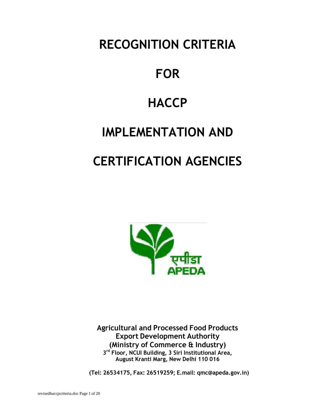**RECOGNITION CRITERIA** 

# **FOR**

## **HACCP**

# **IMPLEMENTATION AND**

# **CERTIFICATION AGENCIES**



**Agricultural and Processed Food Products Export Development Authority (Ministry of Commerce & Industry) 3 rd Floor, NCUI Building, 3 Siri Institutional Area, August Kranti Marg, New Delhi 110 016**

**(Tel: 26534175, Fax: 26519259; E.mail: qmc@apeda.gov.in)**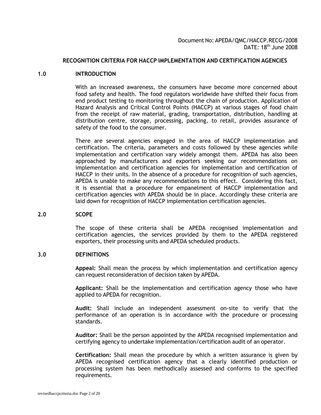## **RECOGNITION CRITERIA FOR HACCP IMPLEMENTATION AND CERTIFICATION AGENCIES**

#### **1.0 INTRODUCTION**

With an increased awareness, the consumers have become more concerned about food safety and health. The food regulators worldwide have shifted their focus from end product testing to monitoring throughout the chain of production. Application of Hazard Analysis and Critical Control Points (HACCP) at various stages of food chain from the receipt of raw material, grading, transportation, distribution, handling at distribution centre, storage, processing, packing, to retail, provides assurance of safety of the food to the consumer.

There are several agencies engaged in the area of HACCP implementation and certification. The criteria, parameters and costs followed by these agencies while implementation and certification vary widely amongst them. APEDA has also been approached by manufacturers and exporters seeking our recommendations on implementation and certification agencies for implementation and certification of HACCP in their units. In the absence of a procedure for recognition of such agencies, APEDA is unable to make any recommendations to this effect. Considering this fact, it is essential that a procedure for empanelment of HACCP implementation and certification agencies with APEDA should be in place. Accordingly these criteria are laid down for recognition of HACCP implementation certification agencies.

## **2.0 SCOPE**

The scope of these criteria shall be APEDA recognised implementation and certification agencies, the services provided by them to the APEDA registered exporters, their processing units and APEDA scheduled products.

#### **3.0 DEFINITIONS**

**Appeal:** Shall mean the process by which implementation and certification agency can request reconsideration of decision taken by APEDA.

**Applicant:** Shall be the implementation and certification agency those who have applied to APEDA for recognition.

**Audit:** Shall include an independent assessment on-site to verify that the performance of an operation is in accordance with the procedure or processing standards.

**Auditor:** Shall be the person appointed by the APEDA recognised implementation and certifying agency to undertake implementation/certification audit of an operator.

**Certification:** Shall mean the procedure by which a written assurance is given by APEDA recognised certification agency that a clearly identified production or processing system has been methodically assessed and conforms to the specified requirements.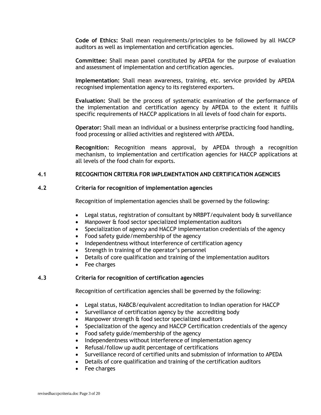**Code of Ethics:** Shall mean requirements/principles to be followed by all HACCP auditors as well as implementation and certification agencies.

**Committee:** Shall mean panel constituted by APEDA for the purpose of evaluation and assessment of implementation and certification agencies.

**Implementation:** Shall mean awareness, training, etc. service provided by APEDA recognised implementation agency to its registered exporters.

**Evaluation:** Shall be the process of systematic examination of the performance of the implementation and certification agency by APEDA to the extent it fulfills specific requirements of HACCP applications in all levels of food chain for exports.

**Operator:** Shall mean an individual or a business enterprise practicing food handling, food processing or allied activities and registered with APEDA.

**Recognition:** Recognition means approval, by APEDA through a recognition mechanism, to implementation and certification agencies for HACCP applications at all levels of the food chain for exports.

## **4.1 RECOGNITION CRITERIA FOR IMPLEMENTATION AND CERTIFICATION AGENCIES**

## **4.2 Criteria for recognition of implementation agencies**

Recognition of implementation agencies shall be governed by the following:

- Legal status, registration of consultant by NRBPT/equivalent body & surveillance
- Manpower & food sector specialized implementation auditors
- Specialization of agency and HACCP implementation credentials of the agency
- Food safety guide/membership of the agency
- Independentness without interference of certification agency
- Strength in training of the operator's personnel
- Details of core qualification and training of the implementation auditors
- Fee charges

### **4.3 Criteria for recognition of certification agencies**

Recognition of certification agencies shall be governed by the following:

- Legal status, NABCB/equivalent accreditation to Indian operation for HACCP
- Surveillance of certification agency by the accrediting body
- Manpower strength & food sector specialized auditors
- Specialization of the agency and HACCP Certification credentials of the agency
- Food safety guide/membership of the agency
- Independentness without interference of implementation agency
- Refusal/follow up audit percentage of certifications
- Surveillance record of certified units and submission of information to APEDA
- Details of core qualification and training of the certification auditors
- Fee charges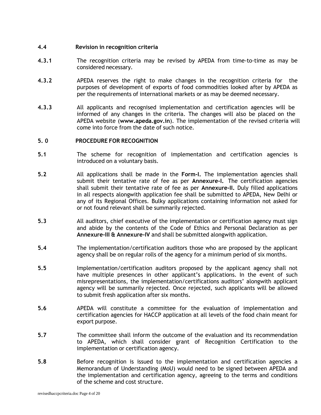## **4.4 Revision in recognition criteria**

- **4.3.1** The recognition criteria may be revised by APEDA from time-to-time as may be considered necessary.
- **4.3.2** APEDA reserves the right to make changes in the recognition criteria for the purposes of development of exports of food commodities looked after by APEDA as per the requirements of international markets or as may be deemed necessary.
- **4.3.3** All applicants and recognised implementation and certification agencies will be informed of any changes in the criteria. The changes will also be placed on the APEDA website (**www.apeda.gov.in**). The implementation of the revised criteria will come into force from the date of such notice.

#### **5. 0 PROCEDURE FOR RECOGNITION**

- **5.1** The scheme for recognition of implementation and certification agencies is introduced on a voluntary basis.
- **5.2** All applications shall be made in the **Form-I.** The implementation agencies shall submit their tentative rate of fee as per **Annexure-I.** The certification agencies shall submit their tentative rate of fee as per **Annexure-II.** Duly filled applications in all respects alongwith application fee shall be submitted to APEDA, New Delhi or any of its Regional Offices. Bulky applications containing information not asked for or not found relevant shall be summarily rejected.
- **5.3** All auditors, chief executive of the implementation or certification agency must sign and abide by the contents of the Code of Ethics and Personal Declaration as per **Annexure-III & Annexure-IV** and shall be submitted alongwith application.
- **5.4** The implementation/certification auditors those who are proposed by the applicant agency shall be on regular rolls of the agency for a minimum period of six months.
- **5.5** Implementation/certification auditors proposed by the applicant agency shall not have multiple presences in other applicant's applications. In the event of such misrepresentations, the implementation/certifications auditors' alongwith applicant agency will be summarily rejected. Once rejected, such applicants will be allowed to submit fresh application after six months.
- **5.6** APEDA will constitute a committee for the evaluation of implementation and certification agencies for HACCP application at all levels of the food chain meant for export purpose.
- **5.7** The committee shall inform the outcome of the evaluation and its recommendation to APEDA, which shall consider grant of Recognition Certification to the implementation or certification agency.
- **5.8** Before recognition is issued to the implementation and certification agencies a Memorandum of Understanding (MoU) would need to be signed between APEDA and the implementation and certification agency, agreeing to the terms and conditions of the scheme and cost structure.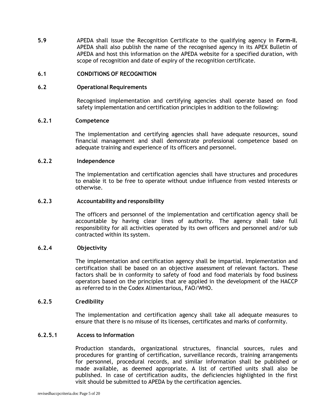**5.9** APEDA shall issue the Recognition Certificate to the qualifying agency in **Form-II.** APEDA shall also publish the name of the recognised agency in its APEX Bulletin of APEDA and host this information on the APEDA website for a specified duration, with scope of recognition and date of expiry of the recognition certificate.

## **6.1 CONDITIONS OF RECOGNITION**

#### **6.2 Operational Requirements**

Recognised implementation and certifying agencies shall operate based on food safety implementation and certification principles in addition to the following:

## **6.2.1 Competence**

The implementation and certifying agencies shall have adequate resources, sound financial management and shall demonstrate professional competence based on adequate training and experience of its officers and personnel.

#### **6.2.2 Independence**

The implementation and certification agencies shall have structures and procedures to enable it to be free to operate without undue influence from vested interests or otherwise.

#### **6.2.3 Accountability and responsibility**

The officers and personnel of the implementation and certification agency shall be accountable by having clear lines of authority. The agency shall take full responsibility for all activities operated by its own officers and personnel and/or sub contracted within its system.

## **6.2.4 Objectivity**

The implementation and certification agency shall be impartial. Implementation and certification shall be based on an objective assessment of relevant factors. These factors shall be in conformity to safety of food and food materials by food business operators based on the principles that are applied in the development of the HACCP as referred to in the Codex Alimentarious, FAO/WHO.

#### **6.2.5 Credibility**

The implementation and certification agency shall take all adequate measures to ensure that there is no misuse of its licenses, certificates and marks of conformity.

#### **6.2.5.1 Access to Information**

Production standards, organizational structures, financial sources, rules and procedures for granting of certification, surveillance records, training arrangements for personnel, procedural records, and similar information shall be published or made available, as deemed appropriate. A list of certified units shall also be published. In case of certification audits, the deficiencies highlighted in the first visit should be submitted to APEDA by the certification agencies.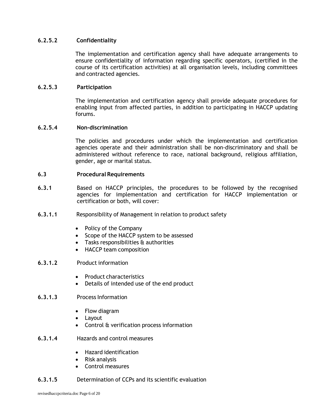## **6.2.5.2 Confidentiality**

The implementation and certification agency shall have adequate arrangements to ensure confidentiality of information regarding specific operators, (certified in the course of its certification activities) at all organisation levels, including committees and contracted agencies.

## **6.2.5.3 Participation**

The implementation and certification agency shall provide adequate procedures for enabling input from affected parties, in addition to participating in HACCP updating forums.

## **6.2.5.4 Non-discrimination**

The policies and procedures under which the implementation and certification agencies operate and their administration shall be non-discriminatory and shall be administered without reference to race, national background, religious affiliation, gender, age or marital status.

## **6.3 Procedural Requirements**

- **6.3.1** Based on HACCP principles, the procedures to be followed by the recognised agencies for implementation and certification for HACCP implementation or certification or both, will cover:
- **6.3.1.1** Responsibility of Management in relation to product safety
	- Policy of the Company
	- Scope of the HACCP system to be assessed
	- Tasks responsibilities & authorities
	- HACCP team composition

## **6.3.1.2** Product information

- Product characteristics
- Details of intended use of the end product

## **6.3.1.3** Process Information

- Flow diagram
- Layout
- Control & verification process information
- **6.3.1.4** Hazards and control measures
	- Hazard identification
	- Risk analysis
	- Control measures
- **6.3.1.5** Determination of CCPs and its scientific evaluation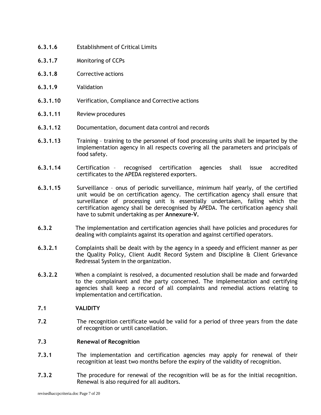- **6.3.1.6** Establishment of Critical Limits
- **6.3.1.7** Monitoring of CCPs
- **6.3.1.8** Corrective actions
- **6.3.1.9** Validation
- **6.3.1.10** Verification, Compliance and Corrective actions
- **6.3.1.11** Review procedures
- **6.3.1.12** Documentation, document data control and records
- **6.3.1.13** Training training to the personnel of food processing units shall be imparted by the implementation agency in all respects covering all the parameters and principals of food safety.
- **6.3.1.14** Certification recognised certification agencies shall issue accredited certificates to the APEDA registered exporters.
- **6.3.1.15** Surveillance onus of periodic surveillance, minimum half yearly, of the certified unit would be on certification agency. The certification agency shall ensure that surveillance of processing unit is essentially undertaken, failing which the certification agency shall be derecognised by APEDA. The certification agency shall have to submit undertaking as per **Annexure-V.**
- **6.3.2** The implementation and certification agencies shall have policies and procedures for dealing with complaints against its operation and against certified operators.
- **6.3.2.1** Complaints shall be dealt with by the agency in a speedy and efficient manner as per the Quality Policy, Client Audit Record System and Discipline & Client Grievance Redressal System in the organization.
- **6.3.2.2** When a complaint is resolved, a documented resolution shall be made and forwarded to the complainant and the party concerned. The implementation and certifying agencies shall keep a record of all complaints and remedial actions relating to implementation and certification.

#### **7.1 VALIDITY**

**7.2** The recognition certificate would be valid for a period of three years from the date of recognition or until cancellation.

#### **7.3 Renewal of Recognition**

- **7.3.1** The implementation and certification agencies may apply for renewal of their recognition at least two months before the expiry of the validity of recognition.
- **7.3.2** The procedure for renewal of the recognition will be as for the initial recognition. Renewal is also required for all auditors.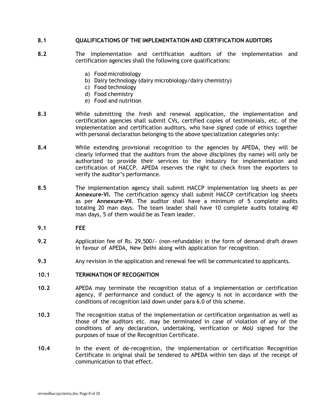## **8.1 QUALIFICATIONS OF THE IMPLEMENTATION AND CERTIFICATION AUDITORS**

- **8.2** The implementation and certification auditors of the implementation and certification agencies shall the following core qualifications:
	- a) Food microbiology
	- b) Dairy technology (dairy microbiology/dairy chemistry)
	- c) Food technology
	- d) Food chemistry
	- e) Food and nutrition
- **8.3** While submitting the fresh and renewal application, the implementation and certification agencies shall submit CVs, certified copies of testimonials, etc. of the implementation and certification auditors, who have signed code of ethics together with personal declaration belonging to the above specialization categories only:
- **8.4** While extending provisional recognition to the agencies by APEDA, they will be clearly informed that the auditors from the above disciplines (by name) will only be authorized to provide their services to the industry for implementation and certification of HACCP. APEDA reserves the right to check from the exporters to verify the auditor's performance.
- **8.5** The implementation agency shall submit HACCP implementation log sheets as per **Annexure-VI.** The certification agency shall submit HACCP certification log sheets as per **Annexure-VII**. The auditor shall have a minimum of 5 complete audits totaling 20 man days. The team leader shall have 10 complete audits totaling 40 man days, 5 of them would be as Team leader.
- **9.1 FEE**
- **9.2** Application fee of Rs. 29,500/- (non-refundable) in the form of demand draft drawn in favour of APEDA, New Delhi along with application for recognition.
- **9.3** Any revision in the application and renewal fee will be communicated to applicants.

## **10.1 TERMINATION OF RECOGNITION**

- **10.2** APEDA may terminate the recognition status of a implementation or certification agency, if performance and conduct of the agency is not in accordance with the conditions of recognition laid down under para 6.0 of this scheme.
- **10.3** The recognition status of the implementation or certification organisation as well as those of the auditors etc. may be terminated in case of violation of any of the conditions of any declaration, undertaking, verification or MoU signed for the purposes of issue of the Recognition Certificate.
- **10.4** In the event of de-recognition, the implementation or certification Recognition Certificate in original shall be tendered to APEDA within ten days of the receipt of communication to that effect.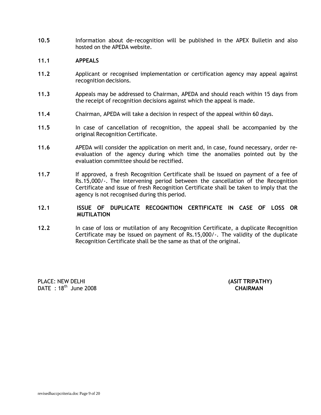**10.5** Information about de-recognition will be published in the APEX Bulletin and also hosted on the APEDA website.

#### **11.1 APPEALS**

- **11.2** Applicant or recognised implementation or certification agency may appeal against recognition decisions.
- **11.3** Appeals may be addressed to Chairman, APEDA and should reach within 15 days from the receipt of recognition decisions against which the appeal is made.
- **11.4** Chairman, APEDA will take a decision in respect of the appeal within 60 days.
- **11.5** In case of cancellation of recognition, the appeal shall be accompanied by the original Recognition Certificate.
- **11.6** APEDA will consider the application on merit and, in case, found necessary, order reevaluation of the agency during which time the anomalies pointed out by the evaluation committee should be rectified.
- 11.7 If approved, a fresh Recognition Certificate shall be issued on payment of a fee of Rs.15,000/-. The intervening period between the cancellation of the Recognition Certificate and issue of fresh Recognition Certificate shall be taken to imply that the agency is not recognised during this period.
- **12.1 ISSUE OF DUPLICATE RECOGNITION CERTIFICATE IN CASE OF LOSS OR MUTILATION**
- **12.2** In case of loss or mutilation of any Recognition Certificate, a duplicate Recognition Certificate may be issued on payment of Rs.15,000/-. The validity of the duplicate Recognition Certificate shall be the same as that of the original.

PLACE: NEW DELHI **(ASIT TRIPATHY)** DATE : 18<sup>th</sup> June 2008 **CHAIRMAN**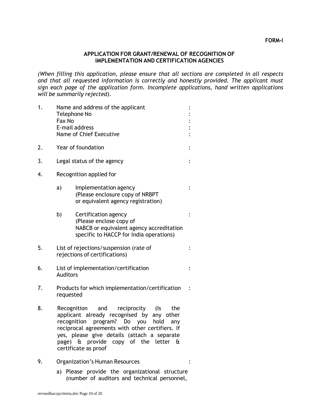## **APPLICATION FOR GRANT/RENEWAL OF RECOGNITION OF IMPLEMENTATION AND CERTIFICATION AGENCIES**

*(When filling this application, please ensure that all sections are completed in all respects and that all requested information is correctly and honestly provided. The applicant must sign each page of the application form. Incomplete applications, hand written applications will be summarily rejected).*

| 1. | Name and address of the applicant<br>Telephone No<br>Fax No<br>E-mail address<br><b>Name of Chief Executive</b>                                                                                                                                                                                                                   |                                                                                                                                        |  |  |  |
|----|-----------------------------------------------------------------------------------------------------------------------------------------------------------------------------------------------------------------------------------------------------------------------------------------------------------------------------------|----------------------------------------------------------------------------------------------------------------------------------------|--|--|--|
| 2. |                                                                                                                                                                                                                                                                                                                                   | Year of foundation                                                                                                                     |  |  |  |
| 3. |                                                                                                                                                                                                                                                                                                                                   | Legal status of the agency                                                                                                             |  |  |  |
| 4. |                                                                                                                                                                                                                                                                                                                                   | Recognition applied for                                                                                                                |  |  |  |
|    | a)<br>Implementation agency<br>(Please enclosure copy of NRBPT<br>or equivalent agency registration)                                                                                                                                                                                                                              |                                                                                                                                        |  |  |  |
|    | b)                                                                                                                                                                                                                                                                                                                                | Certification agency<br>(Please enclose copy of<br>NABCB or equivalent agency accreditation<br>specific to HACCP for India operations) |  |  |  |
| 5. | List of rejections/suspension (rate of<br>rejections of certifications)                                                                                                                                                                                                                                                           |                                                                                                                                        |  |  |  |
| 6. | List of implementation/certification<br><b>Auditors</b>                                                                                                                                                                                                                                                                           |                                                                                                                                        |  |  |  |
| 7. | Products for which implementation/certification<br>requested                                                                                                                                                                                                                                                                      |                                                                                                                                        |  |  |  |
| 8. | (Is<br>the<br>Recognition<br>and<br>reciprocity<br>applicant already recognised by any other<br>recognition<br>program? Do you<br>hold<br>any<br>reciprocal agreements with other certifiers. If<br>yes, please give details (attach a separate<br>& provide copy of the letter<br>page)<br>$-\mathbf{a}$<br>certificate as proof |                                                                                                                                        |  |  |  |

- 9. Organization's Human Resources : The Second State State State State State State State State State State State State State State State State State State State State State State State State State State State State State S
	- a) Please provide the organizational structure (number of auditors and technical personnel,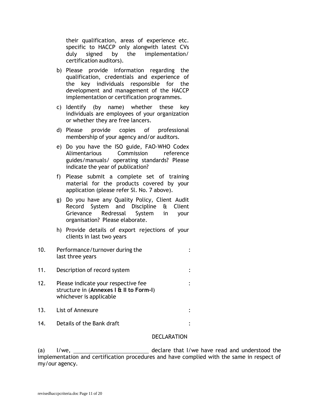their qualification, areas of experience etc. specific to HACCP only alongwith latest CVs duly signed by the implementation/ certification auditors).

- b) Please provide information regarding the qualification, credentials and experience of the key individuals responsible for the development and management of the HACCP implementation or certification programmes.
- c) Identify (by name) whether these key individuals are employees of your organization or whether they are free lancers.
- d) Please provide copies of professional membership of your agency and/or auditors.
- e) Do you have the ISO guide, FAO-WHO Codex Alimentarious Commission reference guides/manuals/ operating standards? Please indicate the year of publication?
- f) Please submit a complete set of training material for the products covered by your application (please refer Sl. No. 7 above).
- g) Do you have any Quality Policy, Client Audit Record System and Discipline & Client Grievance Redressal System in your organisation? Please elaborate.
- h) Provide details of export rejections of your clients in last two years
- 10. Performance/turnover during the : last three years
- 11. Description of record system :
- 12. Please indicate your respective fee  $\cdot$  : structure in (**Annexes I & II to Form-I**) whichever is applicable
- 13. List of Annexure in the set of  $\mathcal{L}$  is the  $\mathcal{L}$  is the  $\mathcal{L}$  is the  $\mathcal{L}$
- 14. Details of the Bank draft **in the Sank of the Bank** draft

## **DECLARATION**

(a) I/we, declare that I/we have read and understood the implementation and certification procedures and have complied with the same in respect of my/our agency.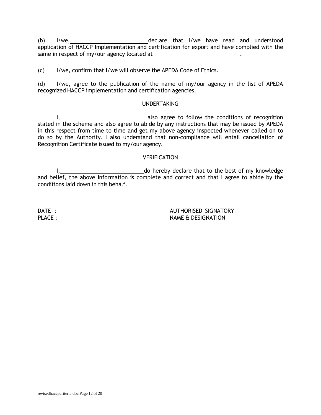(b) I/we, declare that I/we have read and understood application of HACCP Implementation and certification for export and have complied with the same in respect of my/our agency located at .

(c) I/we, confirm that I/we will observe the APEDA Code of Ethics.

(d) I/we, agree to the publication of the name of my/our agency in the list of APEDA recognized HACCP implementation and certification agencies.

#### UNDERTAKING

I, 1. **Also agree to follow the conditions of recognition** stated in the scheme and also agree to abide by any instructions that may be issued by APEDA in this respect from time to time and get my above agency inspected whenever called on to do so by the Authority. I also understand that non-compliance will entail cancellation of Recognition Certificate issued to my/our agency.

#### **VERIFICATION**

I, do hereby declare that to the best of my knowledge and belief, the above information is complete and correct and that I agree to abide by the conditions laid down in this behalf.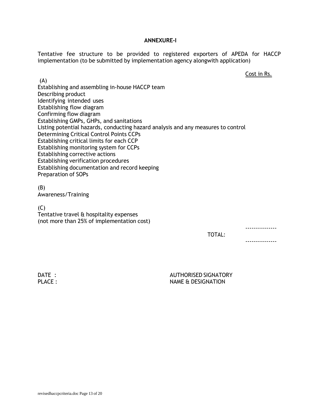#### **ANNEXURE-I**

Tentative fee structure to be provided to registered exporters of APEDA for HACCP implementation (to be submitted by implementation agency alongwith application)

Cost in Rs.

---------------

---------------

(A) Establishing and assembling in-house HACCP team Describing product Identifying intended uses Establishing flow diagram Confirming flow diagram Establishing GMPs, GHPs, and sanitations Listing potential hazards, conducting hazard analysis and any measures to control Determining Critical Control Points CCPs Establishing critical limits for each CCP Establishing monitoring system for CCPs Establishing corrective actions Establishing verification procedures Establishing documentation and record keeping Preparation of SOPs

(B) Awareness/Training

 $(C)$ 

Tentative travel & hospitality expenses (not more than 25% of implementation cost)

TOTAL: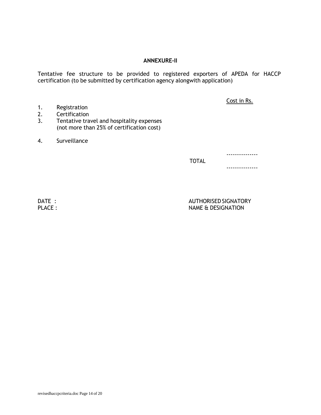## **ANNEXURE-II**

Tentative fee structure to be provided to registered exporters of APEDA for HACCP certification (to be submitted by certification agency alongwith application)

Cost in Rs.

- 1. Registration
- 2. Certification 3. Tentative travel and hospitality expenses
- (not more than 25% of certification cost)
- 4. Surveillance

---------------

TOTAL

---------------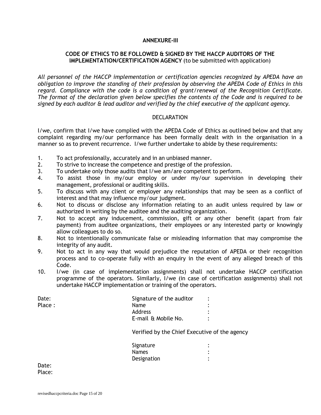#### **ANNEXURE-III**

## **CODE OF ETHICS TO BE FOLLOWED & SIGNED BY THE HACCP AUDITORS OF THE IMPLEMENTATION/CERTIFICATION AGENCY** (to be submitted with application)

*All personnel of the HACCP implementation or certification agencies recognized by APEDA have an obligation to improve the standing of their profession by observing the APEDA Code of Ethics in this regard. Compliance with the code is a condition of grant/renewal of the Recognition Certificate. The format of the declaration given below specifies the contents of the Code and is required to be signed by each auditor & lead auditor and verified by the chief executive of the applicant agency.*

#### **DECLARATION**

I/we, confirm that I/we have complied with the APEDA Code of Ethics as outlined below and that any complaint regarding my/our performance has been formally dealt with in the organisation in a manner so as to prevent recurrence. I/we further undertake to abide by these requirements:

- 1. To act professionally, accurately and in an unbiased manner.
- 2. To strive to increase the competence and prestige of the profession.
- 3. To undertake only those audits that I/we am/are competent to perform.
- 4. To assist those in my/our employ or under my/our supervision in developing their management, professional or auditing skills.
- 5. To discuss with any client or employer any relationships that may be seen as a conflict of interest and that may influence my/our judgment.
- 6. Not to discuss or disclose any information relating to an audit unless required by law or authorized in writing by the auditee and the auditing organization.
- 7. Not to accept any inducement, commission, gift or any other benefit (apart from fair payment) from auditee organizations, their employees or any interested party or knowingly allow colleagues to do so.
- 8. Not to intentionally communicate false or misleading information that may compromise the integrity of any audit.
- 9. Not to act in any way that would prejudice the reputation of APEDA or their recognition process and to co-operate fully with an enquiry in the event of any alleged breach of this Code.
- 10. I/we (in case of implementation assignments) shall not undertake HACCP certification programme of the operators. Similarly, I/we (in case of certification assignments) shall not undertake HACCP implementation or training of the operators.

| Date:  | Signature of the auditor |  |
|--------|--------------------------|--|
| Place: | <b>Name</b>              |  |
|        | Address                  |  |
|        | E-mail & Mobile No.      |  |

Verified by the Chief Executive of the agency

| Signature   |  |
|-------------|--|
| Names       |  |
| Designation |  |

Date: Place: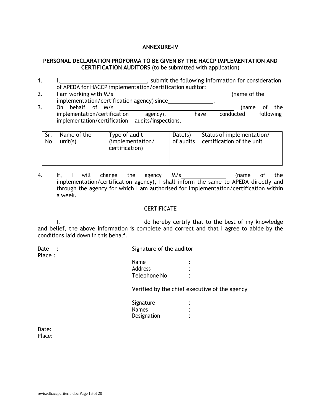## **ANNEXURE-IV**

## **PERSONAL DECLARATION PROFORMA TO BE GIVEN BY THE HACCP IMPLEMENTATION AND CERTIFICATION AUDITORS** (to be submitted with application)

- 1. I, 1. I, 1. I, 1. Submit the following information for consideration of APEDA for HACCP implementation/certification auditor:
- 2. I am working with M/s (name of the state of the state of the state of the state of the state of the state of the state of the state of the state of the state of the state of the state of the state of the state of the st implementation/certification agency) since . 3. On behalf of M/s (name of the implementation/certification agency), I have conducted following implementation/certification audits/inspections.

| Sr.<br>No | Name of the<br>unit(s) | Type of audit<br>(implementation/<br>certification) | Date(s) | Status of implementation/<br>of audits   certification of the unit |
|-----------|------------------------|-----------------------------------------------------|---------|--------------------------------------------------------------------|
|           |                        |                                                     |         |                                                                    |

4. If, I will change the agency M/s \_\_\_ manufall (name of the implementation/certification agency), I shall inform the same to APEDA directly and through the agency for which I am authorised for implementation/certification within a week.

## **CERTIFICATE**

I, 1, 2008 1, 1, 2008 1, 2008 1, 2008 1, 2008 1, 2008 1, 2008 1, 2008 1, 2008 1, 2008 1, 2008 1, 2008 1, 2008 1 and belief, the above information is complete and correct and that I agree to abide by the conditions laid down in this behalf.

| Date<br>Place : |              | Signature of the auditor |  |  |
|-----------------|--------------|--------------------------|--|--|
|                 | <b>Name</b>  | ٠                        |  |  |
|                 | Address      |                          |  |  |
|                 | Telephone No |                          |  |  |

Verified by the chief executive of the agency

| Signature   |  |
|-------------|--|
|             |  |
| Names       |  |
| Designation |  |

Date: Place: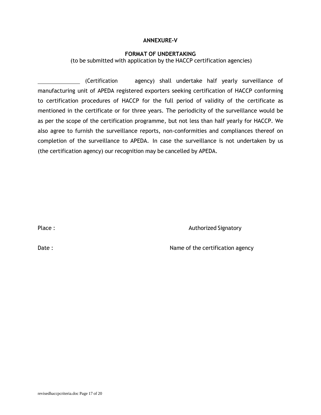### **ANNEXURE-V**

## **FORMAT OF UNDERTAKING**

(to be submitted with application by the HACCP certification agencies)

 (Certification agency) shall undertake half yearly surveillance of manufacturing unit of APEDA registered exporters seeking certification of HACCP conforming to certification procedures of HACCP for the full period of validity of the certificate as mentioned in the certificate or for three years. The periodicity of the surveillance would be as per the scope of the certification programme, but not less than half yearly for HACCP. We also agree to furnish the surveillance reports, non-conformities and compliances thereof on completion of the surveillance to APEDA. In case the surveillance is not undertaken by us (the certification agency) our recognition may be cancelled by APEDA.

Place : Authorized Signatory

Date : Name of the certification agency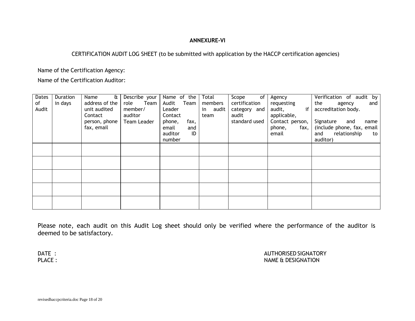## **ANNEXURE-VI**

## CERTIFICATION AUDIT LOG SHEET (to be submitted with application by the HACCP certification agencies)

Name of the Certification Agency:

Name of the Certification Auditor:

| Dates | Duration | $\mathbf{a}$<br>Name | Describe your | Name of the    | Total    | of<br>Scope   | Agency                 | Verification of audit by   |
|-------|----------|----------------------|---------------|----------------|----------|---------------|------------------------|----------------------------|
| of    | in days  | address of the       | role Team     | Audit Team     | members  | certification | requesting             | the<br>and<br>agency       |
| Audit |          | unit audited         | member/       | Leader         | in audit | category and  | if<br>audit,           | accreditation body.        |
|       |          | Contact              | auditor       | Contact        | team     | audit         | applicable,            |                            |
|       |          | person, phone        | Team Leader   | phone,<br>fax, |          | standard used | Contact person,        | Signature<br>and<br>name   |
|       |          | fax, email           |               | email<br>and   |          |               | phone,<br>fax, $\vert$ | (include phone, fax, email |
|       |          |                      |               | auditor<br>ID  |          |               | email                  | and relationship<br>to     |
|       |          |                      |               | number         |          |               |                        | auditor)                   |
|       |          |                      |               |                |          |               |                        |                            |
|       |          |                      |               |                |          |               |                        |                            |
|       |          |                      |               |                |          |               |                        |                            |
|       |          |                      |               |                |          |               |                        |                            |
|       |          |                      |               |                |          |               |                        |                            |
|       |          |                      |               |                |          |               |                        |                            |
|       |          |                      |               |                |          |               |                        |                            |
|       |          |                      |               |                |          |               |                        |                            |
|       |          |                      |               |                |          |               |                        |                            |
|       |          |                      |               |                |          |               |                        |                            |

Please note, each audit on this Audit Log sheet should only be verified where the performance of the auditor is deemed to be satisfactory.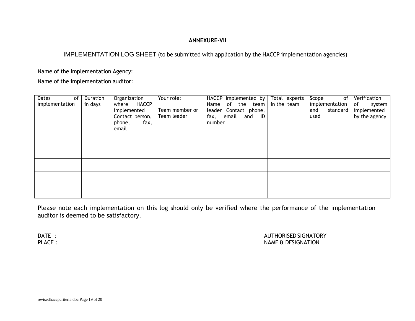## **ANNEXURE-VII**

## IMPLEMENTATION LOG SHEET (to be submitted with application by the HACCP implementation agencies)

Name of the Implementation Agency:

Name of the implementation auditor:

| <b>Dates</b><br>of I<br>implementation | Duration<br>in days | Organization<br>where HACCP<br>implemented<br>Contact person,  <br>fax,<br>phone,<br>email | Your role:<br>Team member or<br>Team leader | HACCP implemented by   Total experts<br>Name of the team<br>leader Contact phone,<br>fax, email and ID<br>number | in the team | Scope<br>of<br>implementation<br>and<br>standard<br>used | Verification<br>of<br>system<br>implemented<br>by the agency |
|----------------------------------------|---------------------|--------------------------------------------------------------------------------------------|---------------------------------------------|------------------------------------------------------------------------------------------------------------------|-------------|----------------------------------------------------------|--------------------------------------------------------------|
|                                        |                     |                                                                                            |                                             |                                                                                                                  |             |                                                          |                                                              |
|                                        |                     |                                                                                            |                                             |                                                                                                                  |             |                                                          |                                                              |
|                                        |                     |                                                                                            |                                             |                                                                                                                  |             |                                                          |                                                              |
|                                        |                     |                                                                                            |                                             |                                                                                                                  |             |                                                          |                                                              |
|                                        |                     |                                                                                            |                                             |                                                                                                                  |             |                                                          |                                                              |

Please note each implementation on this log should only be verified where the performance of the implementation auditor is deemed to be satisfactory.